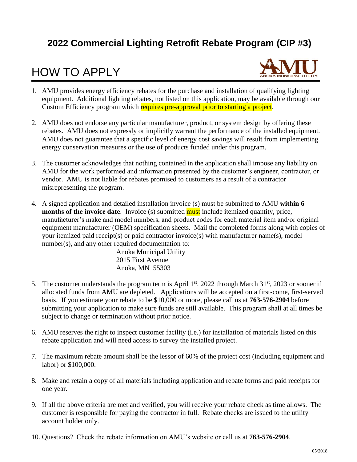### **2022 Commercial Lighting Retrofit Rebate Program (CIP #3)**

### HOW TO APPLY



- 1. AMU provides energy efficiency rebates for the purchase and installation of qualifying lighting equipment. Additional lighting rebates, not listed on this application, may be available through our Custom Efficiency program which requires pre-approval prior to starting a project.
- 2. AMU does not endorse any particular manufacturer, product, or system design by offering these rebates. AMU does not expressly or implicitly warrant the performance of the installed equipment. AMU does not guarantee that a specific level of energy cost savings will result from implementing energy conservation measures or the use of products funded under this program.
- 3. The customer acknowledges that nothing contained in the application shall impose any liability on AMU for the work performed and information presented by the customer's engineer, contractor, or vendor. AMU is not liable for rebates promised to customers as a result of a contractor misrepresenting the program.
- 4. A signed application and detailed installation invoice (s) must be submitted to AMU **within 6 months of the invoice date**. Invoice (s) submitted **must** include itemized quantity, price, manufacturer's make and model numbers, and product codes for each material item and/or original equipment manufacturer (OEM) specification sheets. Mail the completed forms along with copies of your itemized paid receipt(s) or paid contractor invoice(s) with manufacturer name(s), model number(s), and any other required documentation to:

Anoka Municipal Utility 2015 First Avenue Anoka, MN 55303

- 5. The customer understands the program term is April  $1<sup>st</sup>$ , 2022 through March 31 $<sup>st</sup>$ , 2023 or sooner if</sup> allocated funds from AMU are depleted. Applications will be accepted on a first-come, first-served basis. If you estimate your rebate to be \$10,000 or more, please call us at **763-576-2904** before submitting your application to make sure funds are still available. This program shall at all times be subject to change or termination without prior notice.
- 6. AMU reserves the right to inspect customer facility (i.e.) for installation of materials listed on this rebate application and will need access to survey the installed project.
- 7. The maximum rebate amount shall be the lessor of 60% of the project cost (including equipment and labor) or \$100,000.
- 8. Make and retain a copy of all materials including application and rebate forms and paid receipts for one year.
- 9. If all the above criteria are met and verified, you will receive your rebate check as time allows. The customer is responsible for paying the contractor in full. Rebate checks are issued to the utility account holder only.
- 10. Questions? Check the rebate information on AMU's website or call us at **763-576-2904**.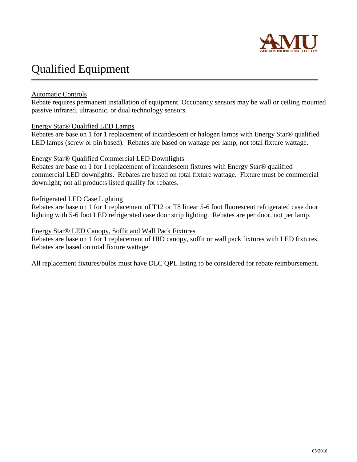

### Qualified Equipment

#### Automatic Controls

Rebate requires permanent installation of equipment. Occupancy sensors may be wall or ceiling mounted passive infrared, ultrasonic, or dual technology sensors.

#### Energy Star® Qualified LED Lamps

Rebates are base on 1 for 1 replacement of incandescent or halogen lamps with Energy Star® qualified LED lamps (screw or pin based). Rebates are based on wattage per lamp, not total fixture wattage.

#### Energy Star® Qualified Commercial LED Downlights

Rebates are base on 1 for 1 replacement of incandescent fixtures with Energy Star® qualified commercial LED downlights. Rebates are based on total fixture wattage. Fixture must be commercial downlight; not all products listed qualify for rebates.

#### Refrigerated LED Case Lighting

Rebates are base on 1 for 1 replacement of T12 or T8 linear 5-6 foot fluorescent refrigerated case door lighting with 5-6 foot LED refrigerated case door strip lighting. Rebates are per door, not per lamp.

#### Energy Star® LED Canopy, Soffit and Wall Pack Fixtures

Rebates are base on 1 for 1 replacement of HID canopy, soffit or wall pack fixtures with LED fixtures. Rebates are based on total fixture wattage.

All replacement fixtures/bulbs must have DLC QPL listing to be considered for rebate reimbursement.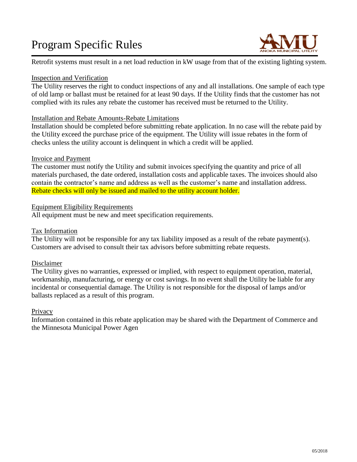## Program Specific Rules



Retrofit systems must result in a net load reduction in kW usage from that of the existing lighting system.

#### Inspection and Verification

The Utility reserves the right to conduct inspections of any and all installations. One sample of each type of old lamp or ballast must be retained for at least 90 days. If the Utility finds that the customer has not complied with its rules any rebate the customer has received must be returned to the Utility.

#### Installation and Rebate Amounts-Rebate Limitations

Installation should be completed before submitting rebate application. In no case will the rebate paid by the Utility exceed the purchase price of the equipment. The Utility will issue rebates in the form of checks unless the utility account is delinquent in which a credit will be applied.

#### Invoice and Payment

The customer must notify the Utility and submit invoices specifying the quantity and price of all materials purchased, the date ordered, installation costs and applicable taxes. The invoices should also contain the contractor's name and address as well as the customer's name and installation address. Rebate checks will only be issued and mailed to the utility account holder.

#### Equipment Eligibility Requirements

All equipment must be new and meet specification requirements.

#### Tax Information

The Utility will not be responsible for any tax liability imposed as a result of the rebate payment(s). Customers are advised to consult their tax advisors before submitting rebate requests.

#### Disclaimer

The Utility gives no warranties, expressed or implied, with respect to equipment operation, material, workmanship, manufacturing, or energy or cost savings. In no event shall the Utility be liable for any incidental or consequential damage. The Utility is not responsible for the disposal of lamps and/or ballasts replaced as a result of this program.

#### **Privacy**

Information contained in this rebate application may be shared with the Department of Commerce and the Minnesota Municipal Power Agen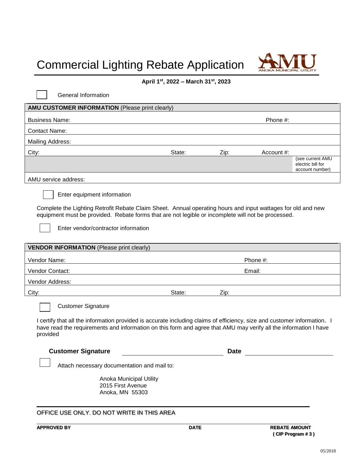# Commercial Lighting Rebate Application



#### **April 1st , 2022 – March 31st , 2023**

| <b>General Information</b>                                                                                                                                                                                                                                                               |        |             |            |                                                          |  |
|------------------------------------------------------------------------------------------------------------------------------------------------------------------------------------------------------------------------------------------------------------------------------------------|--------|-------------|------------|----------------------------------------------------------|--|
| <b>AMU CUSTOMER INFORMATION (Please print clearly)</b>                                                                                                                                                                                                                                   |        |             |            |                                                          |  |
| <b>Business Name:</b><br>Phone #:                                                                                                                                                                                                                                                        |        |             |            |                                                          |  |
| <b>Contact Name:</b>                                                                                                                                                                                                                                                                     |        |             |            |                                                          |  |
| <b>Mailing Address:</b>                                                                                                                                                                                                                                                                  |        |             |            |                                                          |  |
| City:                                                                                                                                                                                                                                                                                    | State: | Zip:        | Account #: |                                                          |  |
|                                                                                                                                                                                                                                                                                          |        |             |            | (see current AMU<br>electric bill for<br>account number) |  |
| AMU service address:                                                                                                                                                                                                                                                                     |        |             |            |                                                          |  |
| Enter equipment information<br>Complete the Lighting Retrofit Rebate Claim Sheet. Annual operating hours and input wattages for old and new<br>equipment must be provided. Rebate forms that are not legible or incomplete will not be processed.<br>Enter vendor/contractor information |        |             |            |                                                          |  |
| <b>VENDOR INFORMATION</b> (Please print clearly)                                                                                                                                                                                                                                         |        |             |            |                                                          |  |
| Vendor Name:<br>Phone #:                                                                                                                                                                                                                                                                 |        |             |            |                                                          |  |
| Vendor Contact:<br>Email:                                                                                                                                                                                                                                                                |        |             |            |                                                          |  |
|                                                                                                                                                                                                                                                                                          |        |             |            |                                                          |  |
| Vendor Address:                                                                                                                                                                                                                                                                          |        |             |            |                                                          |  |
| City:                                                                                                                                                                                                                                                                                    | State: | Zip:        |            |                                                          |  |
| <b>Customer Signature</b><br>I certify that all the information provided is accurate including claims of efficiency, size and customer information. I<br>have read the requirements and information on this form and agree that AMU may verify all the information I have<br>provided    |        |             |            |                                                          |  |
| <b>Customer Signature</b>                                                                                                                                                                                                                                                                |        | <b>Date</b> |            |                                                          |  |
| Attach necessary documentation and mail to:<br>Anoka Municipal Utility<br>2015 First Avenue<br>Anoka, MN 55303                                                                                                                                                                           |        |             |            |                                                          |  |

**APPROVED BY DATE REBATE AMOUNT ( CIP Program # 3 )**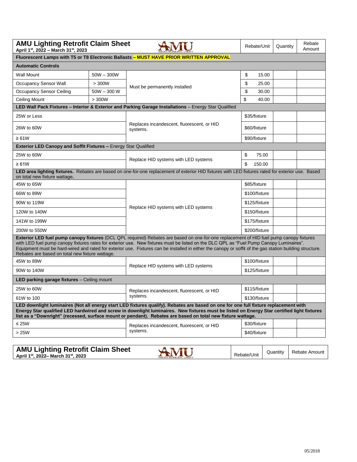| <b>AMU Lighting Retrofit Claim Sheet</b><br>April 1st, 2022 - March 31st, 2023                                                                                                                                                                                                                                                                                                                                                                                                                    | Rebate/Unit                                                                                                                                       | Quantity                                               | Rebate<br>Amount |  |  |  |  |
|---------------------------------------------------------------------------------------------------------------------------------------------------------------------------------------------------------------------------------------------------------------------------------------------------------------------------------------------------------------------------------------------------------------------------------------------------------------------------------------------------|---------------------------------------------------------------------------------------------------------------------------------------------------|--------------------------------------------------------|------------------|--|--|--|--|
| Fluorescent Lamps with T5 or T8 Electronic Ballasts - MUST HAVE PRIOR WRITTEN APPROVAL                                                                                                                                                                                                                                                                                                                                                                                                            |                                                                                                                                                   |                                                        |                  |  |  |  |  |
| <b>Automatic Controls</b>                                                                                                                                                                                                                                                                                                                                                                                                                                                                         |                                                                                                                                                   |                                                        |                  |  |  |  |  |
| Wall Mount                                                                                                                                                                                                                                                                                                                                                                                                                                                                                        | $50W - 300W$                                                                                                                                      |                                                        | \$<br>15.00      |  |  |  |  |
| <b>Occupancy Sensor Wall</b>                                                                                                                                                                                                                                                                                                                                                                                                                                                                      | > 300W                                                                                                                                            |                                                        | \$<br>25.00      |  |  |  |  |
| <b>Occupancy Sensor Ceiling</b>                                                                                                                                                                                                                                                                                                                                                                                                                                                                   | $50W - 300W$                                                                                                                                      | Must be permanently installed                          | \$<br>30.00      |  |  |  |  |
| <b>Ceiling Mount</b>                                                                                                                                                                                                                                                                                                                                                                                                                                                                              | > 300W                                                                                                                                            |                                                        | \$<br>40.00      |  |  |  |  |
| LED Wall Pack Fixtures - Interior & Exterior and Parking Garage Installations - Energy Star Qualified                                                                                                                                                                                                                                                                                                                                                                                             |                                                                                                                                                   |                                                        |                  |  |  |  |  |
| 25W or Less                                                                                                                                                                                                                                                                                                                                                                                                                                                                                       |                                                                                                                                                   |                                                        | \$35/fixture     |  |  |  |  |
| 26W to 60W                                                                                                                                                                                                                                                                                                                                                                                                                                                                                        |                                                                                                                                                   | Replaces incandescent, fluorescent, or HID<br>systems. | \$60/fixture     |  |  |  |  |
| $\geq 61W$                                                                                                                                                                                                                                                                                                                                                                                                                                                                                        |                                                                                                                                                   |                                                        | \$90/fixture     |  |  |  |  |
| Exterior LED Canopy and Soffit Fixtures - Energy Star Qualified                                                                                                                                                                                                                                                                                                                                                                                                                                   |                                                                                                                                                   |                                                        |                  |  |  |  |  |
| 25W to 60W                                                                                                                                                                                                                                                                                                                                                                                                                                                                                        |                                                                                                                                                   |                                                        | \$<br>75.00      |  |  |  |  |
| $\geq 61W$                                                                                                                                                                                                                                                                                                                                                                                                                                                                                        |                                                                                                                                                   | Replace HID systems with LED systems                   | \$<br>150.00     |  |  |  |  |
| on total new fixture wattage.                                                                                                                                                                                                                                                                                                                                                                                                                                                                     | LED area lighting fixtures. Rebates are based on one-for-one replacement of exterior HID fixtures with LED fixtures rated for exterior use. Based |                                                        |                  |  |  |  |  |
| 45W to 65W<br>66W to 89W<br>90W to 119W<br>120W to 140W<br>141W to 199W                                                                                                                                                                                                                                                                                                                                                                                                                           |                                                                                                                                                   |                                                        | \$85/fixture     |  |  |  |  |
|                                                                                                                                                                                                                                                                                                                                                                                                                                                                                                   |                                                                                                                                                   |                                                        | \$100/fixture    |  |  |  |  |
|                                                                                                                                                                                                                                                                                                                                                                                                                                                                                                   |                                                                                                                                                   | Replace HID systems with LED systems                   | \$125/fixture    |  |  |  |  |
|                                                                                                                                                                                                                                                                                                                                                                                                                                                                                                   |                                                                                                                                                   |                                                        | \$150/fixture    |  |  |  |  |
|                                                                                                                                                                                                                                                                                                                                                                                                                                                                                                   |                                                                                                                                                   |                                                        | \$175/fixture    |  |  |  |  |
| 200W to 550W                                                                                                                                                                                                                                                                                                                                                                                                                                                                                      |                                                                                                                                                   |                                                        | \$200/fixture    |  |  |  |  |
| Exterior LED fuel pump canopy fixtures (DCL QPL required) Rebates are based on one-for-one replacement of HID fuel pump canopy fixtures<br>with LED fuel pump canopy fixtures rates for exterior use. New fixtures must be listed on the DLC QPL as "Fuel Pump Canopy Luminaires".<br>Equipment must be hard-wired and rated for exterior use. Fixtures can be installed in either the canopy or soffit of the gas station building structure.<br>Rebates are based on total new fixture wattage. |                                                                                                                                                   |                                                        |                  |  |  |  |  |
| 45W to 89W                                                                                                                                                                                                                                                                                                                                                                                                                                                                                        |                                                                                                                                                   |                                                        | \$100/fixture    |  |  |  |  |
| 90W to 140W                                                                                                                                                                                                                                                                                                                                                                                                                                                                                       |                                                                                                                                                   | Replace HID systems with LED systems                   | \$125/fixture    |  |  |  |  |
| LED parking garage fixtures - Ceiling mount                                                                                                                                                                                                                                                                                                                                                                                                                                                       |                                                                                                                                                   |                                                        |                  |  |  |  |  |
| 25W to 60W                                                                                                                                                                                                                                                                                                                                                                                                                                                                                        |                                                                                                                                                   | Replaces incandescent, fluorescent, or HID             | \$115/fixture    |  |  |  |  |
| 61W to 100                                                                                                                                                                                                                                                                                                                                                                                                                                                                                        |                                                                                                                                                   | systems.                                               | \$130/fixture    |  |  |  |  |
| LED downlight luminaires (Not all energy start LED fixtures qualify). Rebates are based on one for one full fixture replacement with<br>Energy Star qualified LED hardwired and screw in downlight luminaires. New fixtures must be listed on Energy Star certified light fixtures<br>list as a "Downright" (recessed, surface mount or pendant). Rebates are based on total new fixture wattage.                                                                                                 |                                                                                                                                                   |                                                        |                  |  |  |  |  |
| $≤ 25W$                                                                                                                                                                                                                                                                                                                                                                                                                                                                                           |                                                                                                                                                   | Replaces incandescent, fluorescent, or HID             | \$30/fixture     |  |  |  |  |
| >25W                                                                                                                                                                                                                                                                                                                                                                                                                                                                                              |                                                                                                                                                   | systems.                                               | \$40/fixture     |  |  |  |  |
|                                                                                                                                                                                                                                                                                                                                                                                                                                                                                                   |                                                                                                                                                   |                                                        |                  |  |  |  |  |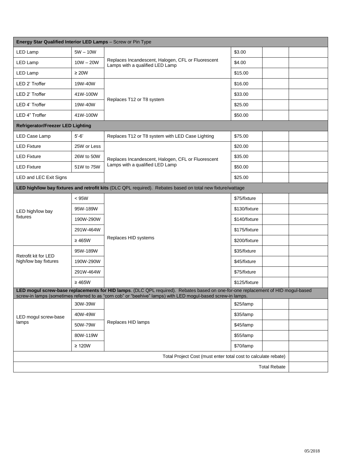| Energy Star Qualified Interior LED Lamps - Screw or Pin Type                                                                                                                                                                                     |             |                                                                                       |               |  |  |  |  |
|--------------------------------------------------------------------------------------------------------------------------------------------------------------------------------------------------------------------------------------------------|-------------|---------------------------------------------------------------------------------------|---------------|--|--|--|--|
| LED Lamp                                                                                                                                                                                                                                         | $5W - 10W$  |                                                                                       | \$3.00        |  |  |  |  |
| LED Lamp                                                                                                                                                                                                                                         | $10W - 20W$ | Replaces Incandescent, Halogen, CFL or Fluorescent<br>Lamps with a qualified LED Lamp | \$4.00        |  |  |  |  |
| LED Lamp                                                                                                                                                                                                                                         | $\geq 20W$  |                                                                                       | \$15.00       |  |  |  |  |
| LED 2' Troffer                                                                                                                                                                                                                                   | 19W-40W     |                                                                                       | \$16.00       |  |  |  |  |
| LED 2' Troffer                                                                                                                                                                                                                                   | 41W-100W    |                                                                                       | \$33.00       |  |  |  |  |
| LED 4' Troffer                                                                                                                                                                                                                                   | 19W-40W     | Replaces T12 or T8 system                                                             | \$25.00       |  |  |  |  |
| LED 4" Troffer                                                                                                                                                                                                                                   | 41W-100W    |                                                                                       | \$50.00       |  |  |  |  |
| <b>Refrigerator/Freezer LED Lighting</b>                                                                                                                                                                                                         |             |                                                                                       |               |  |  |  |  |
| LED Case Lamp                                                                                                                                                                                                                                    | $5' - 6'$   | Replaces T12 or T8 system with LED Case Lighting                                      | \$75.00       |  |  |  |  |
| <b>LED Fixture</b>                                                                                                                                                                                                                               | 25W or Less |                                                                                       | \$20.00       |  |  |  |  |
| <b>LED Fixture</b>                                                                                                                                                                                                                               | 26W to 50W  | Replaces Incandescent, Halogen, CFL or Fluorescent                                    | \$35.00       |  |  |  |  |
| <b>LED Fixture</b>                                                                                                                                                                                                                               | 51W to 75W  | Lamps with a qualified LED Lamp                                                       | \$50.00       |  |  |  |  |
| LED and LEC Exit Signs                                                                                                                                                                                                                           |             |                                                                                       | \$25.00       |  |  |  |  |
| LED high/low bay fixtures and retrofit kits (DLC QPL required). Rebates based on total new fixture/wattage                                                                                                                                       |             |                                                                                       |               |  |  |  |  |
|                                                                                                                                                                                                                                                  | < 95W       |                                                                                       | \$75/fixture  |  |  |  |  |
| LED high/low bay                                                                                                                                                                                                                                 | 95W-189W    |                                                                                       | \$130/fixture |  |  |  |  |
| fixtures<br>Retrofit kit for LED<br>high/low bay fixtures                                                                                                                                                                                        | 190W-290W   |                                                                                       | \$140/fixture |  |  |  |  |
|                                                                                                                                                                                                                                                  | 291W-464W   |                                                                                       | \$175/fixture |  |  |  |  |
|                                                                                                                                                                                                                                                  | $\geq 465W$ | Replaces HID systems                                                                  | \$200/fixture |  |  |  |  |
|                                                                                                                                                                                                                                                  | 95W-189W    |                                                                                       | \$35/fixture  |  |  |  |  |
|                                                                                                                                                                                                                                                  | 190W-290W   |                                                                                       | \$45/fixture  |  |  |  |  |
|                                                                                                                                                                                                                                                  | 291W-464W   |                                                                                       | \$75/fixture  |  |  |  |  |
|                                                                                                                                                                                                                                                  | $\geq 465W$ |                                                                                       | \$125/fixture |  |  |  |  |
| LED mogul screw-base replacements for HID lamps. (DLC QPL required). Rebates based on one-for-one replacement of HID mogul-based<br>screw-in lamps (sometimes referred to as "corn cob" or "beehive" lamps) with LED mogul-based screw-in lamps. |             |                                                                                       |               |  |  |  |  |
|                                                                                                                                                                                                                                                  | 30W-39W     |                                                                                       | \$25/lamp     |  |  |  |  |
| LED mogul screw-base                                                                                                                                                                                                                             | 40W-49W     | Replaces HID lamps                                                                    | \$35/lamp     |  |  |  |  |
| lamps                                                                                                                                                                                                                                            | 50W-79W     |                                                                                       | \$45/lamp     |  |  |  |  |
|                                                                                                                                                                                                                                                  | 80W-119W    |                                                                                       | \$55/lamp     |  |  |  |  |
|                                                                                                                                                                                                                                                  | $\geq$ 120W |                                                                                       | \$70/lamp     |  |  |  |  |
| Total Project Cost (must enter total cost to calculate rebate)                                                                                                                                                                                   |             |                                                                                       |               |  |  |  |  |
| <b>Total Rebate</b>                                                                                                                                                                                                                              |             |                                                                                       |               |  |  |  |  |